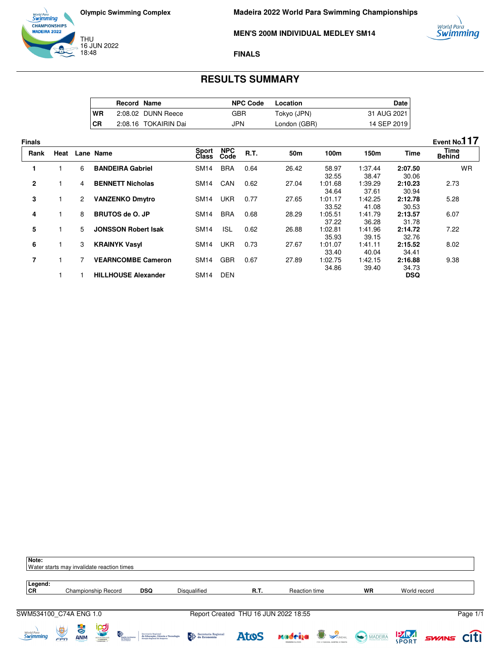



**Madeira 2022 World Para Swimming Championships**

**MEN'S 200M INDIVIDUAL MEDLEY SM14**



#### **FINALS**

## **RESULTS SUMMARY**

|           | <b>Record Name</b> |                      | <b>NPC Code</b> | Location     | Date I      |
|-----------|--------------------|----------------------|-----------------|--------------|-------------|
| <b>WR</b> |                    | 2:08.02 DUNN Reece   | GBR             | Tokyo (JPN)  | 31 AUG 2021 |
| CR        |                    | 2:08.16 TOKAIRIN Dai | <b>JPN</b>      | London (GBR) | 14 SEP 2019 |

**Finals Event No.117 Rank Heat Lane Name Class NPC Code R.T. 50m 100m 150m Time Time Behind 1** 1 6 **BANDEIRA Gabriel** SM14 BRA 0.64 26.42 58.97 32.55<br>1:01.68 1:37.44 38.47 **2:07.50** 30.06 WR **2** 1 4 **BENNETT Nicholas** SM14 CAN 0.62 27.04 34.64<br>1:01.17 1:39.29 37.61 **2:10.23** 30.94 2.73 **3** 1 2 **VANZENKO Dmytro** SM14 UKR 0.77 27.65 33.52<br>1:05.51 1:42.25 41.08 **2:12.78** 30.53 5.28 **4** 1 8 **BRUTOS de O. JP** SM14 BRA 0.68 28.29 37.22<br>1:02.81 1:41.79 36.28 **2:13.57** 31.78 6.07 **5** 1 5 **JONSSON Robert Isak** SM14 ISL 0.62 26.88 35.93<br>1:01.07 1:41.96 39.15 **2:14.72** 32.76 7.22 **6** 1 3 **KRAINYK Vasyl** SM14 UKR 0.73 27.67 33.40<br>1:02.75 1:41.11 40.04 **2:15.52** 34.41 8.02 **7** 1 7 **VEARNCOMBE Cameron** SM14 GBR 0.67 27.89 34.86 1:42.15 39.40 **2:16.88** 34.73<br>**DSQ**  9.38 1 **1 HILLHOUSE Alexander** SM14 DEN

| Note:<br>Water starts may invalidate reaction times |          |                  |                            |                                       |                                                                                          |                                                                                                                                                                                                                                                                                                                                                                                                                                                                |                                      |                                                |                                      |              |              |                   |
|-----------------------------------------------------|----------|------------------|----------------------------|---------------------------------------|------------------------------------------------------------------------------------------|----------------------------------------------------------------------------------------------------------------------------------------------------------------------------------------------------------------------------------------------------------------------------------------------------------------------------------------------------------------------------------------------------------------------------------------------------------------|--------------------------------------|------------------------------------------------|--------------------------------------|--------------|--------------|-------------------|
| Legend:<br>CR                                       |          |                  | Championship Record        |                                       | <b>DSQ</b>                                                                               | Disqualified                                                                                                                                                                                                                                                                                                                                                                                                                                                   | R.T.                                 | Reaction time                                  |                                      | <b>WR</b>    | World record |                   |
| SWM534100 C74A ENG 1.0                              |          |                  |                            |                                       |                                                                                          |                                                                                                                                                                                                                                                                                                                                                                                                                                                                | Report Created THU 16 JUN 2022 18:55 |                                                |                                      |              |              | Page 1/1          |
| <sub>World Para</sub><br>Swimming                   | Ú<br>FPD | より<br><b>ANM</b> | <b>PO</b><br>STEED FORTAGE | 快<br><b>Região Autó</b><br>da Madeira | Secretaria Regional<br>de Educação, Ciência e Tecnologia<br>Direção Regional de Desporto | $\begin{tabular}{ c c } \hline \end{tabular} \begin{tabular}{ c c } \hline Speculation & \end{tabular} \begin{tabular}{ c c c } \hline \end{tabular} \begin{tabular}{ c c c } \hline \end{tabular} \begin{tabular}{ c c c } \hline \end{tabular} \begin{tabular}{ c c c c } \hline \end{tabular} \begin{tabular}{ c c c c } \hline \end{tabular} \begin{tabular}{ c c c c } \hline \end{tabular} \begin{tabular}{ c c c c c } \hline \end{tabular} \begin{tab$ | <b>Atos</b>                          | <b>Madeiga Concrete</b><br><b>POVA ISLANDS</b> | <b>POR O FUNCHAL SEMPRE À FRENTE</b> | MADEIRA PORT |              | <b>SWINS CITI</b> |